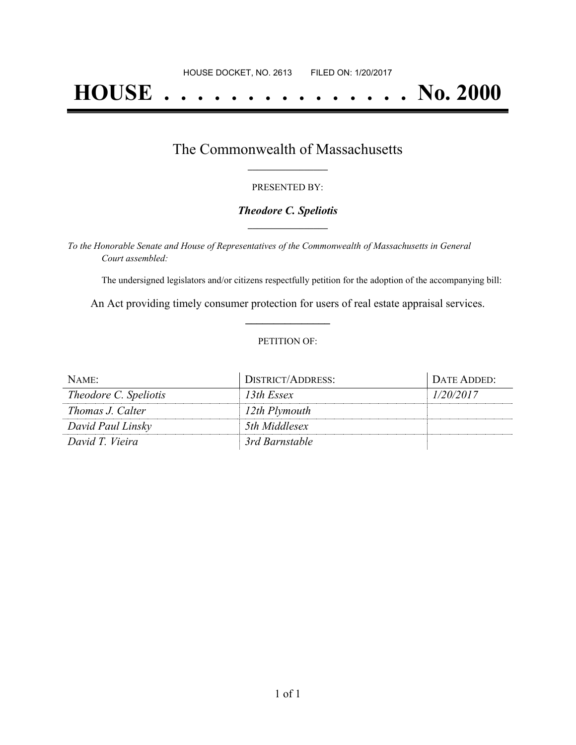# **HOUSE . . . . . . . . . . . . . . . No. 2000**

## The Commonwealth of Massachusetts **\_\_\_\_\_\_\_\_\_\_\_\_\_\_\_\_\_**

#### PRESENTED BY:

#### *Theodore C. Speliotis* **\_\_\_\_\_\_\_\_\_\_\_\_\_\_\_\_\_**

*To the Honorable Senate and House of Representatives of the Commonwealth of Massachusetts in General Court assembled:*

The undersigned legislators and/or citizens respectfully petition for the adoption of the accompanying bill:

An Act providing timely consumer protection for users of real estate appraisal services. **\_\_\_\_\_\_\_\_\_\_\_\_\_\_\_**

#### PETITION OF:

| NAME:                        | <b>DISTRICT/ADDRESS:</b> | DATE ADDED: |
|------------------------------|--------------------------|-------------|
| <i>Theodore C. Speliotis</i> | 13th Essex               | 1/20/2017   |
| Thomas J. Calter             | 12th Plymouth            |             |
| David Paul Linsky            | 5th Middlesex            |             |
| David T. Vieira              | 3rd Barnstable           |             |